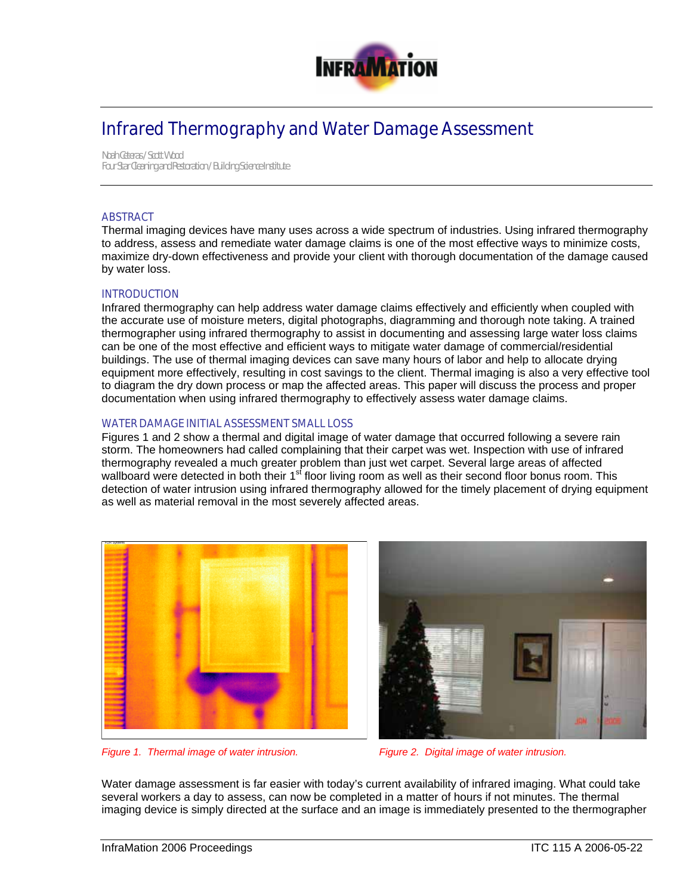

# Infrared Thermography and Water Damage Assessment

*Noah Ceteras / Scott Wood Four Star Cleaning and Restoration / Building Science Institute* 

# **ABSTRACT**

Thermal imaging devices have many uses across a wide spectrum of industries. Using infrared thermography to address, assess and remediate water damage claims is one of the most effective ways to minimize costs, maximize dry-down effectiveness and provide your client with thorough documentation of the damage caused by water loss.

#### INTRODUCTION

Infrared thermography can help address water damage claims effectively and efficiently when coupled with the accurate use of moisture meters, digital photographs, diagramming and thorough note taking. A trained thermographer using infrared thermography to assist in documenting and assessing large water loss claims can be one of the most effective and efficient ways to mitigate water damage of commercial/residential buildings. The use of thermal imaging devices can save many hours of labor and help to allocate drying equipment more effectively, resulting in cost savings to the client. Thermal imaging is also a very effective tool to diagram the dry down process or map the affected areas. This paper will discuss the process and proper documentation when using infrared thermography to effectively assess water damage claims.

#### WATER DAMAGE INITIAL ASSESSMENT SMALL LOSS

Figures 1 and 2 show a thermal and digital image of water damage that occurred following a severe rain storm. The homeowners had called complaining that their carpet was wet. Inspection with use of infrared thermography revealed a much greater problem than just wet carpet. Several large areas of affected wallboard were detected in both their 1<sup>st</sup> floor living room as well as their second floor bonus room. This detection of water intrusion using infrared thermography allowed for the timely placement of drying equipment as well as material removal in the most severely affected areas.





*Figure 1. Thermal image of water intrusion. Figure 2. Digital image of water intrusion.* 

Water damage assessment is far easier with today's current availability of infrared imaging. What could take several workers a day to assess, can now be completed in a matter of hours if not minutes. The thermal imaging device is simply directed at the surface and an image is immediately presented to the thermographer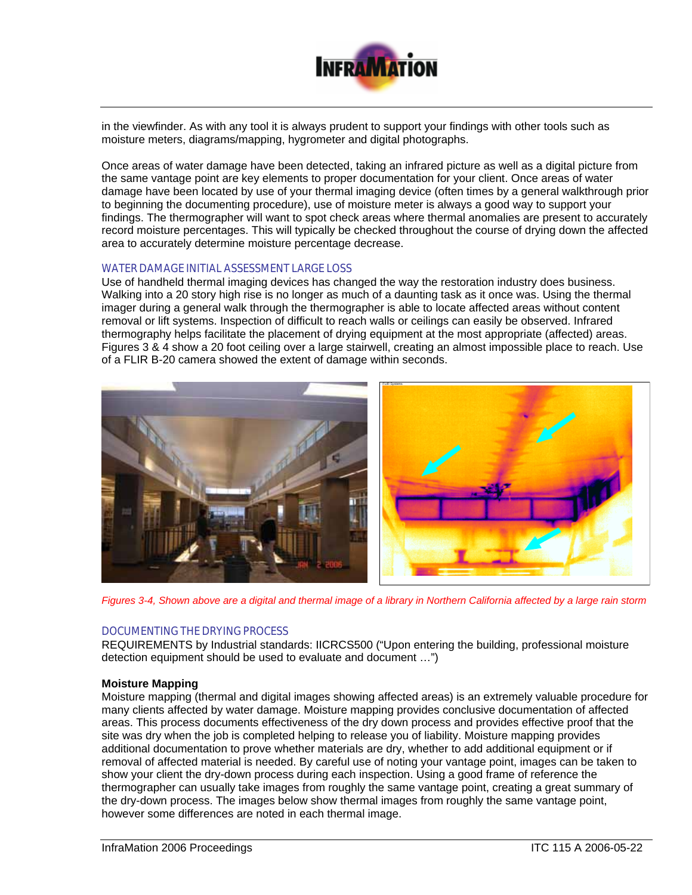

in the viewfinder. As with any tool it is always prudent to support your findings with other tools such as moisture meters, diagrams/mapping, hygrometer and digital photographs.

Once areas of water damage have been detected, taking an infrared picture as well as a digital picture from the same vantage point are key elements to proper documentation for your client. Once areas of water damage have been located by use of your thermal imaging device (often times by a general walkthrough prior to beginning the documenting procedure), use of moisture meter is always a good way to support your findings. The thermographer will want to spot check areas where thermal anomalies are present to accurately record moisture percentages. This will typically be checked throughout the course of drying down the affected area to accurately determine moisture percentage decrease.

### WATER DAMAGE INITIAL ASSESSMENT LARGE LOSS

Use of handheld thermal imaging devices has changed the way the restoration industry does business. Walking into a 20 story high rise is no longer as much of a daunting task as it once was. Using the thermal imager during a general walk through the thermographer is able to locate affected areas without content removal or lift systems. Inspection of difficult to reach walls or ceilings can easily be observed. Infrared thermography helps facilitate the placement of drying equipment at the most appropriate (affected) areas. Figures 3 & 4 show a 20 foot ceiling over a large stairwell, creating an almost impossible place to reach. Use of a FLIR B-20 camera showed the extent of damage within seconds.



*Figures 3-4, Shown above are a digital and thermal image of a library in Northern California affected by a large rain storm*

#### DOCUMENTING THE DRYING PROCESS

REQUIREMENTS by Industrial standards: IICRCS500 ("Upon entering the building, professional moisture detection equipment should be used to evaluate and document …")

### **Moisture Mapping**

Moisture mapping (thermal and digital images showing affected areas) is an extremely valuable procedure for many clients affected by water damage. Moisture mapping provides conclusive documentation of affected areas. This process documents effectiveness of the dry down process and provides effective proof that the site was dry when the job is completed helping to release you of liability. Moisture mapping provides additional documentation to prove whether materials are dry, whether to add additional equipment or if removal of affected material is needed. By careful use of noting your vantage point, images can be taken to show your client the dry-down process during each inspection. Using a good frame of reference the thermographer can usually take images from roughly the same vantage point, creating a great summary of the dry-down process. The images below show thermal images from roughly the same vantage point, however some differences are noted in each thermal image.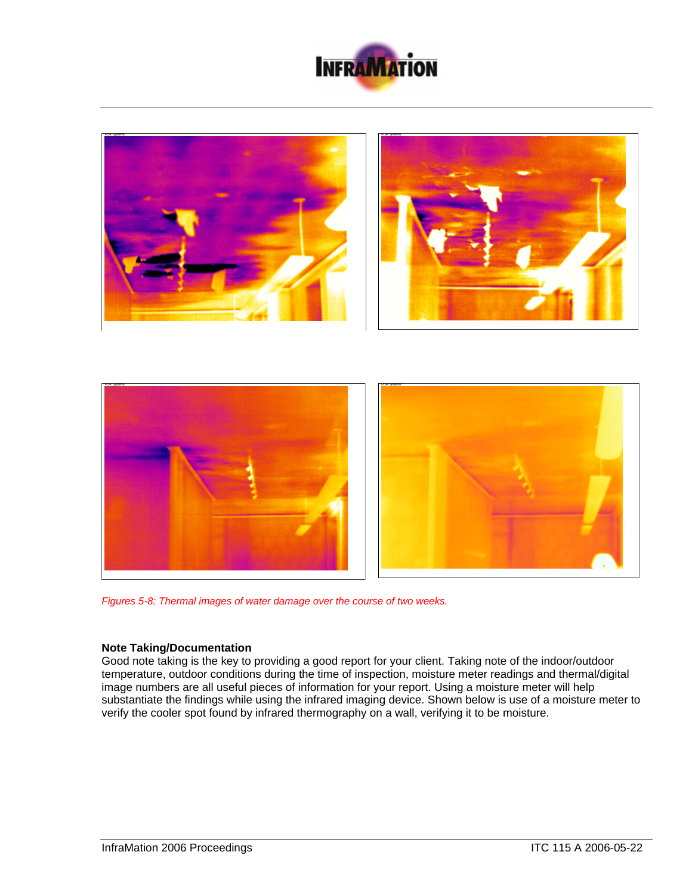





*Figures 5-8: Thermal images of water damage over the course of two weeks.* 

# **Note Taking/Documentation**

Good note taking is the key to providing a good report for your client. Taking note of the indoor/outdoor temperature, outdoor conditions during the time of inspection, moisture meter readings and thermal/digital image numbers are all useful pieces of information for your report. Using a moisture meter will help substantiate the findings while using the infrared imaging device. Shown below is use of a moisture meter to verify the cooler spot found by infrared thermography on a wall, verifying it to be moisture.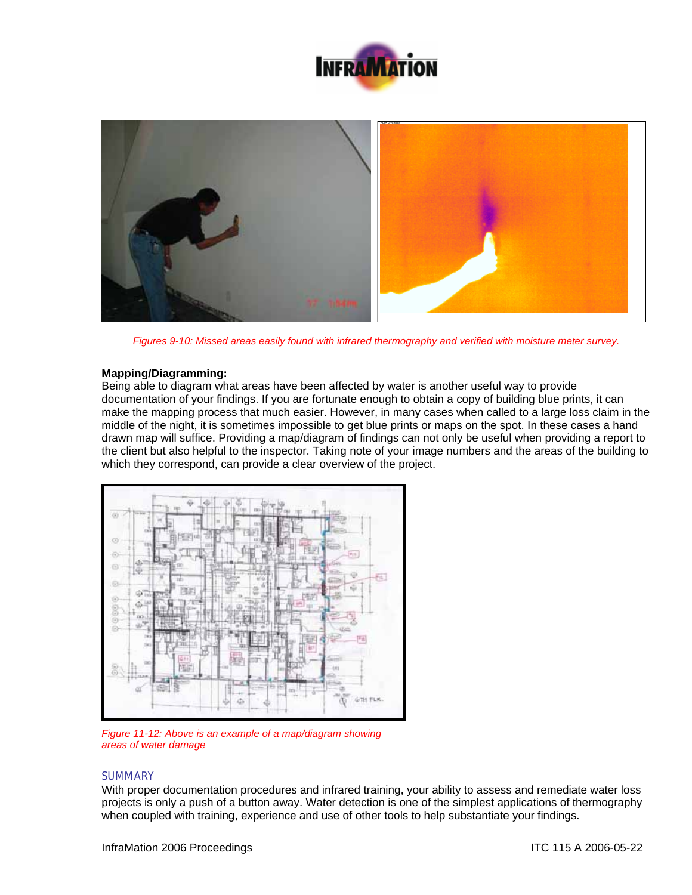



*Figures 9-10: Missed areas easily found with infrared thermography and verified with moisture meter survey.*

## **Mapping/Diagramming:**

Being able to diagram what areas have been affected by water is another useful way to provide documentation of your findings. If you are fortunate enough to obtain a copy of building blue prints, it can make the mapping process that much easier. However, in many cases when called to a large loss claim in the middle of the night, it is sometimes impossible to get blue prints or maps on the spot. In these cases a hand drawn map will suffice. Providing a map/diagram of findings can not only be useful when providing a report to the client but also helpful to the inspector. Taking note of your image numbers and the areas of the building to which they correspond, can provide a clear overview of the project.



*Figure 11-12: Above is an example of a map/diagram showing areas of water damage*

# **SUMMARY**

With proper documentation procedures and infrared training, your ability to assess and remediate water loss projects is only a push of a button away. Water detection is one of the simplest applications of thermography when coupled with training, experience and use of other tools to help substantiate your findings.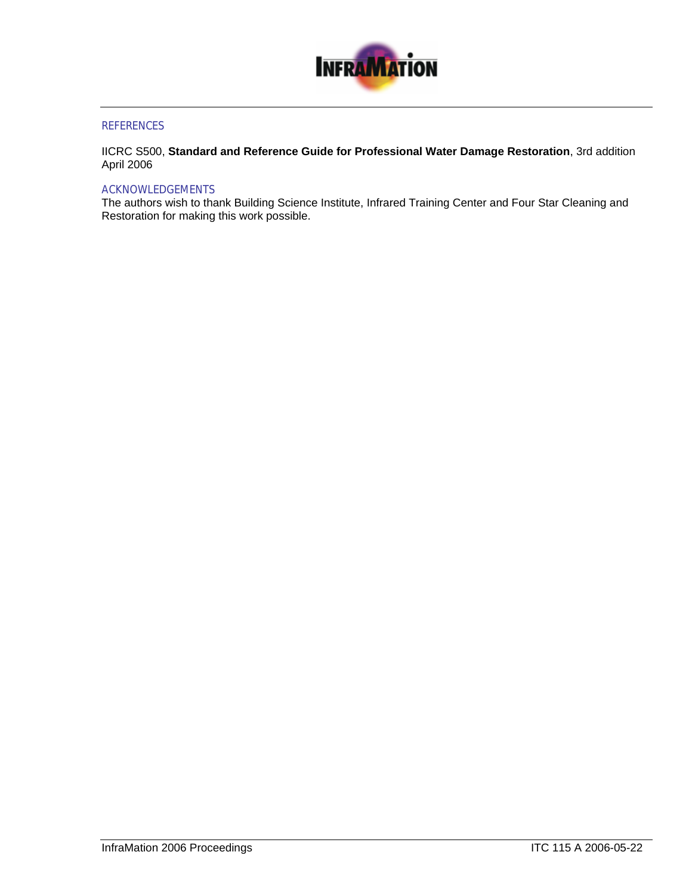

# **REFERENCES**

IICRC S500, **Standard and Reference Guide for Professional Water Damage Restoration**, 3rd addition April 2006

#### ACKNOWLEDGEMENTS

The authors wish to thank Building Science Institute, Infrared Training Center and Four Star Cleaning and Restoration for making this work possible.